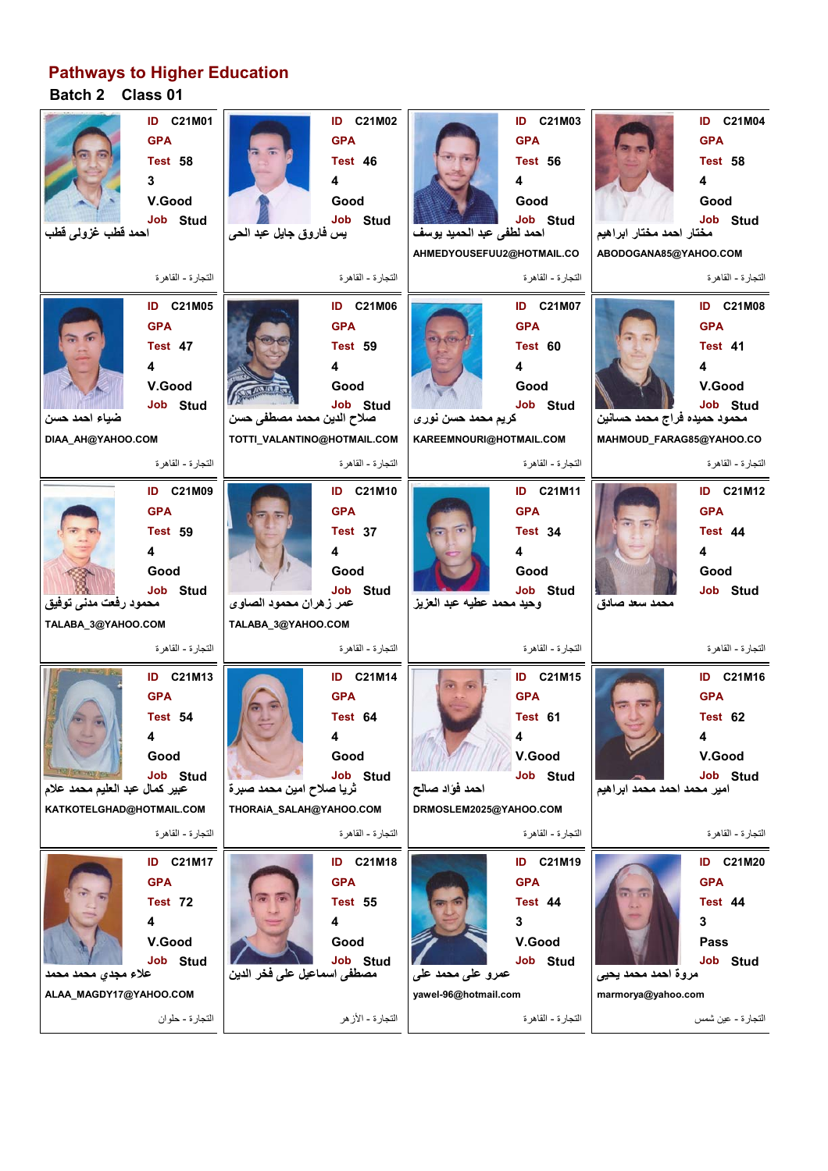## **Pathways to Higher Education**

## **Batch 2 Class 01**